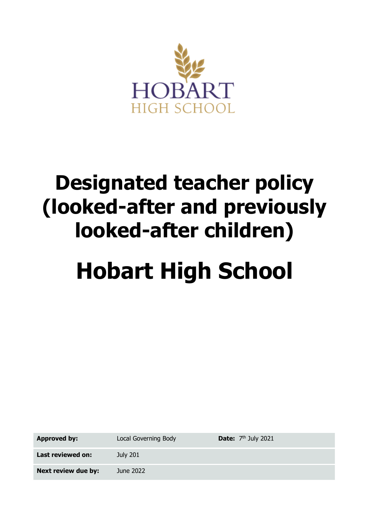

## **Designated teacher policy (looked-after and previously looked-after children)**

# **Hobart High School**

**Approved by:** Local Governing Body

**Date:**  $7<sup>th</sup>$  July 2021

**Next review due by:** June 2022

**Last reviewed on:** July 201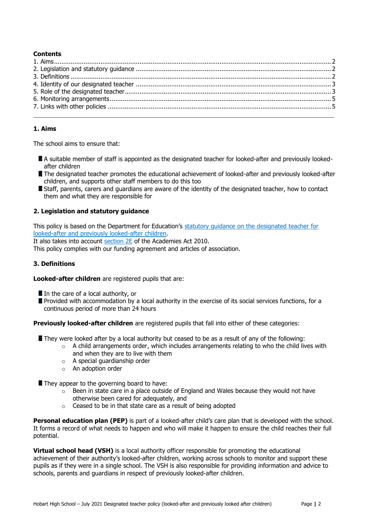#### **Contents**

#### <span id="page-1-0"></span>**1. Aims**

The school aims to ensure that:

- A suitable member of staff is appointed as the designated teacher for looked-after and previously lookedafter children
- **The designated teacher promotes the educational achievement of looked-after and previously looked-after** children, and supports other staff members to do this too
- Staff, parents, carers and quardians are aware of the identity of the designated teacher, how to contact them and what they are responsible for

#### <span id="page-1-1"></span>**2. Legislation and statutory guidance**

This policy is based on the Department for Education's [statutory guidance on the designated teacher for](https://www.gov.uk/government/publications/designated-teacher-for-looked-after-children)  [looked-after and previously looked-after children.](https://www.gov.uk/government/publications/designated-teacher-for-looked-after-children)

It also takes into account [section 2E](http://www.legislation.gov.uk/ukpga/2010/32/section/2E) of the Academies Act 2010.

This policy complies with our funding agreement and articles of association.

#### <span id="page-1-2"></span>**3. Definitions**

**Looked-after children** are registered pupils that are:

In the care of a local authority, or

Provided with accommodation by a local authority in the exercise of its social services functions, for a continuous period of more than 24 hours

**Previously looked-after children** are registered pupils that fall into either of these categories:

- **They were looked after by a local authority but ceased to be as a result of any of the following:** 
	- $\circ$  A child arrangements order, which includes arrangements relating to who the child lives with and when they are to live with them
	- o A special guardianship order
	- o An adoption order
- They appear to the governing board to have:
	- $\circ$  Been in state care in a place outside of England and Wales because they would not have otherwise been cared for adequately, and
	- o Ceased to be in that state care as a result of being adopted

**Personal education plan (PEP)** is part of a looked-after child's care plan that is developed with the school. It forms a record of what needs to happen and who will make it happen to ensure the child reaches their full potential.

**Virtual school head (VSH)** is a local authority officer responsible for promoting the educational achievement of their authority's looked-after children, working across schools to monitor and support these pupils as if they were in a single school. The VSH is also responsible for providing information and advice to schools, parents and guardians in respect of previously looked-after children.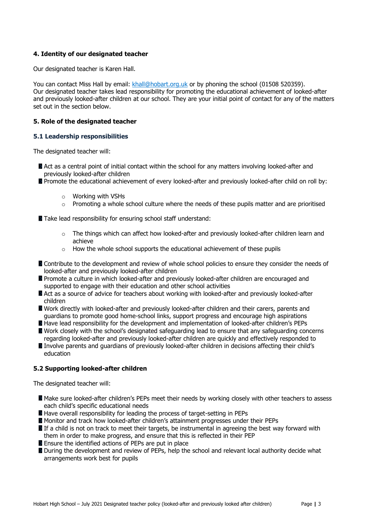#### <span id="page-2-0"></span>**4. Identity of our designated teacher**

Our designated teacher is Karen Hall.

You can contact Miss Hall by email: [khall@hobart.org.uk](mailto:khall@hobart.org.uk) or by phoning the school (01508 520359). Our designated teacher takes lead responsibility for promoting the educational achievement of looked-after and previously looked-after children at our school. They are your initial point of contact for any of the matters set out in the section below.

#### <span id="page-2-1"></span>**5. Role of the designated teacher**

#### **5.1 Leadership responsibilities**

The designated teacher will:

- Act as a central point of initial contact within the school for any matters involving looked-after and previously looked-after children
- **Promote the educational achievement of every looked-after and previously looked-after child on roll by:** 
	- o Working with VSHs
	- $\circ$  Promoting a whole school culture where the needs of these pupils matter and are prioritised

Take lead responsibility for ensuring school staff understand:

- o The things which can affect how looked-after and previously looked-after children learn and achieve
- $\circ$  How the whole school supports the educational achievement of these pupils
- **Contribute to the development and review of whole school policies to ensure they consider the needs of** looked-after and previously looked-after children
- **Promote a culture in which looked-after and previously looked-after children are encouraged and** supported to engage with their education and other school activities
- Act as a source of advice for teachers about working with looked-after and previously looked-after children
- **N** Work directly with looked-after and previously looked-after children and their carers, parents and guardians to promote good home-school links, support progress and encourage high aspirations
- **Have lead responsibility for the development and implementation of looked-after children's PEPs**
- Work closely with the school's designated safeguarding lead to ensure that any safeguarding concerns regarding looked-after and previously looked-after children are quickly and effectively responded to Involve parents and quardians of previously looked-after children in decisions affecting their child's

### **5.2 Supporting looked-after children**

The designated teacher will:

education

- **Make sure looked-after children's PEPs meet their needs by working closely with other teachers to assess** each child's specific educational needs
- Have overall responsibility for leading the process of target-setting in PEPs
- **Monitor and track how looked-after children's attainment progresses under their PEPs**
- If a child is not on track to meet their targets, be instrumental in agreeing the best way forward with them in order to make progress, and ensure that this is reflected in their PEP
- **E** Ensure the identified actions of PEPs are put in place
- During the development and review of PEPs, help the school and relevant local authority decide what arrangements work best for pupils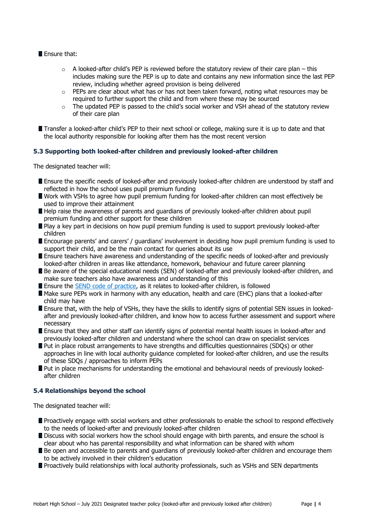#### **Ensure that:**

- $\circ$  A looked-after child's PEP is reviewed before the statutory review of their care plan this includes making sure the PEP is up to date and contains any new information since the last PEP review, including whether agreed provision is being delivered
- $\circ$  PEPs are clear about what has or has not been taken forward, noting what resources may be required to further support the child and from where these may be sourced
- $\circ$  The updated PEP is passed to the child's social worker and VSH ahead of the statutory review of their care plan
- **The Transfer a looked-after child's PEP to their next school or college, making sure it is up to date and that** the local authority responsible for looking after them has the most recent version

#### **5.3 Supporting both looked-after children and previously looked-after children**

The designated teacher will:

- **E** Ensure the specific needs of looked-after and previously looked-after children are understood by staff and reflected in how the school uses pupil premium funding
- **N** Work with VSHs to agree how pupil premium funding for looked-after children can most effectively be used to improve their attainment
- Help raise the awareness of parents and guardians of previously looked-after children about pupil premium funding and other support for these children
- **P** Play a key part in decisions on how pupil premium funding is used to support previously looked-after children
- **E** Encourage parents' and carers' / guardians' involvement in deciding how pupil premium funding is used to support their child, and be the main contact for queries about its use
- **E** Ensure teachers have awareness and understanding of the specific needs of looked-after and previously looked-after children in areas like attendance, homework, behaviour and future career planning
- Be aware of the special educational needs (SEN) of looked-after and previously looked-after children, and make sure teachers also have awareness and understanding of this
- **Ensure the [SEND code of practice,](https://www.gov.uk/government/publications/send-code-of-practice-0-to-25) as it relates to looked-after children, is followed**
- Make sure PEPs work in harmony with any education, health and care (EHC) plans that a looked-after child may have
- Ensure that, with the help of VSHs, they have the skills to identify signs of potential SEN issues in lookedafter and previously looked-after children, and know how to access further assessment and support where necessary
- **E** Ensure that they and other staff can identify signs of potential mental health issues in looked-after and previously looked-after children and understand where the school can draw on specialist services
- **Put in place robust arrangements to have strengths and difficulties questionnaires (SDQs) or other** approaches in line with local authority guidance completed for looked-after children, and use the results of these SDQs / approaches to inform PEPs
- **Put in place mechanisms for understanding the emotional and behavioural needs of previously looked**after children

#### **5.4 Relationships beyond the school**

The designated teacher will:

- **P** Proactively engage with social workers and other professionals to enable the school to respond effectively to the needs of looked-after and previously looked-after children
- **Discuss with social workers how the school should engage with birth parents, and ensure the school is** clear about who has parental responsibility and what information can be shared with whom
- **B** Be open and accessible to parents and quardians of previously looked-after children and encourage them to be actively involved in their children's education
- **P** Proactively build relationships with local authority professionals, such as VSHs and SEN departments